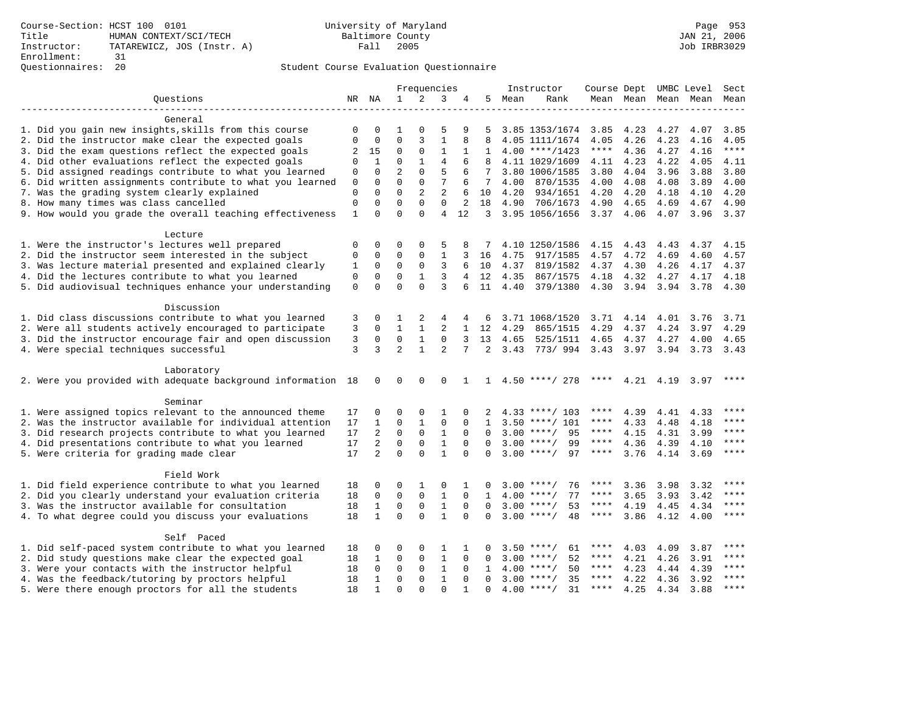|                                                                                                                     |                      |                          | Frequencies    |                |                              | Instructor    | Course Dept UMBC Level |      |                          |                     | Sect               |              |              |              |
|---------------------------------------------------------------------------------------------------------------------|----------------------|--------------------------|----------------|----------------|------------------------------|---------------|------------------------|------|--------------------------|---------------------|--------------------|--------------|--------------|--------------|
| Questions                                                                                                           | NR NA                |                          | $\mathbf{1}$   | 2              | 3                            | 4             | 5                      | Mean | Rank                     |                     | Mean Mean          |              | Mean Mean    | Mean         |
|                                                                                                                     |                      |                          |                |                |                              |               |                        |      |                          |                     |                    |              |              |              |
| General                                                                                                             |                      |                          |                | $\Omega$       | 5                            | 9             |                        |      |                          |                     |                    |              |              |              |
| 1. Did you gain new insights, skills from this course                                                               | $\Omega$<br>$\Omega$ | $\Omega$<br>$\mathbf{0}$ | 1<br>$\Omega$  |                | $\mathbf{1}$                 | 8             | .5<br>8                |      | 3.85 1353/1674           | 3.85                | 4.23               | 4.27         | 4.07         | 3.85<br>4.05 |
| 2. Did the instructor make clear the expected goals                                                                 |                      |                          | $\Omega$       | 3              | $\mathbf{1}$                 |               |                        |      | 4.05 1111/1674           | 4.05<br>$***$ * * * | 4.26               | 4.23         | 4.16         | $***$        |
| 3. Did the exam questions reflect the expected goals                                                                | 2                    | 15                       |                | $\Omega$       |                              | 1             | 1                      |      | $4.00$ ****/1423         |                     | 4.36               | 4.27         | 4.16         |              |
| 4. Did other evaluations reflect the expected goals                                                                 | $\Omega$             | 1                        | 0              | 1              | 4                            | 6             | 8                      |      | 4.11 1029/1609           | 4.11                | 4.23               | 4.22         | 4.05         | 4.11         |
| 5. Did assigned readings contribute to what you learned                                                             | 0                    | 0                        | $\overline{2}$ | 0              | 5                            | 6             | 7                      |      | 3.80 1006/1585           | 3.80                | 4.04               | 3.96         | 3.88         | 3.80         |
| 6. Did written assignments contribute to what you learned                                                           | $\mathbf 0$          | $\Omega$                 | $\Omega$       | 0              | 7                            | 6             | 7                      | 4.00 | 870/1535                 | 4.00                | 4.08               | 4.08         | 3.89         | 4.00         |
| 7. Was the grading system clearly explained                                                                         | $\mathbf 0$          | $\Omega$                 | $\Omega$       | $\overline{2}$ | $\overline{a}$               | 6             | 10                     | 4.20 | 934/1651                 | 4.20                | 4.20               | 4.18         | 4.10         | 4.20         |
| 8. How many times was class cancelled                                                                               | $\mathbf 0$          | 0                        | $\Omega$       | $\Omega$       | $\mathbf 0$                  | 2             | 18                     | 4.90 | 706/1673                 | 4.90                | 4.65               | 4.69         | 4.67         | 4.90         |
| 9. How would you grade the overall teaching effectiveness                                                           | $\mathbf{1}$         | $\Omega$                 | $\Omega$       | $\Omega$       | 4                            | 12            | 3                      |      | 3.95 1056/1656           | 3.37                | 4.06               | 4.07         | 3.96         | 3.37         |
| Lecture                                                                                                             |                      |                          |                |                |                              |               |                        |      |                          |                     |                    |              |              |              |
| 1. Were the instructor's lectures well prepared                                                                     | $\mathbf 0$          | 0                        | 0              | $\mathbf 0$    | 5                            | 8             | 7                      |      | 4.10 1250/1586           | 4.15                | 4.43               | 4.43         | 4.37         | 4.15         |
| 2. Did the instructor seem interested in the subject                                                                | 0                    | 0                        | 0              | 0              | $\mathbf{1}$                 | 3             | 16                     | 4.75 | 917/1585                 | 4.57                | 4.72               | 4.69         | 4.60         | 4.57         |
| 3. Was lecture material presented and explained clearly                                                             | 1                    | 0                        | 0              | $\mathbf 0$    | 3                            | 6             | 10                     | 4.37 | 819/1582                 | 4.37                | 4.30               | 4.26         | 4.17         | 4.37         |
| 4. Did the lectures contribute to what you learned                                                                  | $\mathbf 0$          | $\mathbf 0$              | $\mathbf 0$    | $\mathbf{1}$   | 3                            |               | 12                     | 4.35 | 867/1575                 | 4.18                | 4.32               | 4.27         | 4.17         | 4.18         |
| 5. Did audiovisual techniques enhance your understanding                                                            | $\mathbf 0$          | $\Omega$                 | $\Omega$       | $\Omega$       | 3                            | 6             | 11                     | 4.40 | 379/1380                 | 4.30                | 3.94               | 3.94         | 3.78         | 4.30         |
|                                                                                                                     |                      |                          |                |                |                              |               |                        |      |                          |                     |                    |              |              |              |
| Discussion                                                                                                          |                      |                          |                |                |                              |               |                        |      |                          |                     |                    |              |              |              |
| 1. Did class discussions contribute to what you learned                                                             | 3                    | 0                        | 1              | 2              | 4                            |               | 6                      |      | 3.71 1068/1520           | 3.71                | 4.14               | 4.01         | 3.76         | 3.71         |
| 2. Were all students actively encouraged to participate                                                             | 3                    | $\Omega$                 | $\mathbf{1}$   | $\mathbf{1}$   | $\overline{2}$               | $\mathbf{1}$  | 12                     | 4.29 | 865/1515                 | 4.29                | 4.37               | 4.24         | 3.97         | 4.29         |
| 3. Did the instructor encourage fair and open discussion                                                            | 3                    | $\mathbf 0$              | 0              | $\mathbf{1}$   | $\mathbf 0$                  | 3             | 13                     | 4.65 | 525/1511                 | 4.65                | 4.37               | 4.27         | 4.00         | 4.65         |
| 4. Were special techniques successful                                                                               | 3                    | 3                        | $\overline{2}$ | $\mathbf{1}$   | $\mathfrak{D}$               |               | 2                      | 3.43 | 773/994                  | 3.43                | 3.97               | 3.94         | 3.73         | 3.43         |
| Laboratory                                                                                                          |                      |                          |                |                |                              |               |                        |      |                          |                     |                    |              |              |              |
| 2. Were you provided with adequate background information 18                                                        |                      | $\mathbf 0$              | $\mathbf 0$    | $\mathbf 0$    | 0                            | 1             |                        |      | $1 \quad 4.50$ ****/ 278 |                     | **** $4.21$ $4.19$ |              | 3.97         |              |
| Seminar                                                                                                             |                      |                          |                |                |                              |               |                        |      |                          |                     |                    |              |              |              |
|                                                                                                                     |                      | $\Omega$                 | $\Omega$       | $\Omega$       | $\mathbf{1}$                 | $\Omega$      | $\overline{a}$         |      | $4.33$ ****/ 103         | ****                |                    |              |              | ****         |
| 1. Were assigned topics relevant to the announced theme<br>2. Was the instructor available for individual attention | 17<br>17             | $\mathbf{1}$             | 0              | $\mathbf{1}$   | $\mathbf 0$                  | $\Omega$      | $\mathbf{1}$           |      | $3.50$ ****/ 101         | $***$ * * *         | 4.39<br>4.33       | 4.41<br>4.48 | 4.33         | ****         |
|                                                                                                                     | 17                   | $\overline{a}$           | $\mathbf 0$    | $\mathbf 0$    |                              | $\Omega$      |                        |      | $3.00$ ****/<br>95       | $***$ * * *         |                    |              | 4.18         | ****         |
| 3. Did research projects contribute to what you learned                                                             |                      | $\overline{a}$           | $\mathbf 0$    | 0              | $\mathbf{1}$<br>$\mathbf{1}$ | $\Omega$      | $\Omega$<br>$\Omega$   |      | $3.00$ ****/<br>99       | $***$ * * *         | 4.15               | 4.31         | 3.99         | $***$        |
| 4. Did presentations contribute to what you learned                                                                 | 17<br>17             | $\overline{2}$           | $\Omega$       | $\Omega$       | $\mathbf{1}$                 | $\Omega$      | <sup>0</sup>           |      | $3.00$ ****/<br>97       | ****                | 4.36               | 4.39         | 4.10         | $***$        |
| 5. Were criteria for grading made clear                                                                             |                      |                          |                |                |                              |               |                        |      |                          |                     | 3.76               | 4.14         | 3.69         |              |
| Field Work                                                                                                          |                      |                          |                |                |                              |               |                        |      |                          |                     |                    |              |              |              |
| 1. Did field experience contribute to what you learned                                                              | 18                   | 0                        | 0              | 1              | 0                            | 1             | 0                      |      | $3.00$ ****/<br>76       | ****                | 3.36               | 3.98         | 3.32         |              |
| 2. Did you clearly understand your evaluation criteria                                                              | 18                   | 0                        | $\mathbf 0$    | $\mathsf 0$    | $\mathbf{1}$                 | $\mathbf 0$   | 1                      | 4.00 | 77<br>$***$ /            | ****                | 3.65               | 3.93         | 3.42         |              |
| 3. Was the instructor available for consultation                                                                    | 18                   | $\mathbf{1}$             | $\mathbf 0$    | $\mathbf 0$    | $\mathbf{1}$                 | $\Omega$      | $\Omega$               |      | $3.00$ ****/<br>53       | $***$ * * *         | 4.19               | 4.45         | 4.34         | ****         |
| 4. To what degree could you discuss your evaluations                                                                | 18                   | $\mathbf{1}$             | $\Omega$       | $\Omega$       | $\mathbf{1}$                 | $\Omega$      | $\Omega$               |      | $3.00$ ****/<br>48       | $***$ * * *         | 3.86               | 4.12         | 4.00         | ****         |
| Self Paced                                                                                                          |                      |                          |                |                |                              |               |                        |      |                          |                     |                    |              |              |              |
| 1. Did self-paced system contribute to what you learned                                                             |                      | 0                        | O              | $\Omega$       | 1                            |               | 0                      | 3.50 | $***$ /<br>61            | ****                | 4.03               | 4.09         | 3.87         | $***$        |
| 2. Did study questions make clear the expected goal                                                                 | 18<br>18             | 1                        | $\mathbf 0$    | $\mathbf 0$    | $\mathbf{1}$                 | 1<br>$\Omega$ | $\Omega$               | 3.00 | 52<br>$***/$             | ****                | 4.21               | 4.26         | 3.91         | ****         |
|                                                                                                                     |                      | $\Omega$                 | $\mathbf 0$    | $\mathbf 0$    | $\mathbf{1}$                 | $\Omega$      | 1                      | 4.00 | $***/$<br>50             | $***$ * * *         |                    |              |              | $***$        |
| 3. Were your contacts with the instructor helpful<br>4. Was the feedback/tutoring by proctors helpful               | 18<br>18             | 1                        | 0              | 0              | $\mathbf{1}$                 | $\Omega$      | $\Omega$               |      | $3.00$ ****/<br>35       | ****                | 4.23<br>4.22       | 4.44<br>4.36 | 4.39<br>3.92 | $***$        |
| 5. Were there enough proctors for all the students                                                                  | 18                   | $\mathbf{1}$             | $\Omega$       | $\Omega$       | $\Omega$                     |               | $\Omega$               |      | $4.00$ ****/<br>31       | ****                | 4.25               | 4.34         | 3.88         | ****         |
|                                                                                                                     |                      |                          |                |                |                              |               |                        |      |                          |                     |                    |              |              |              |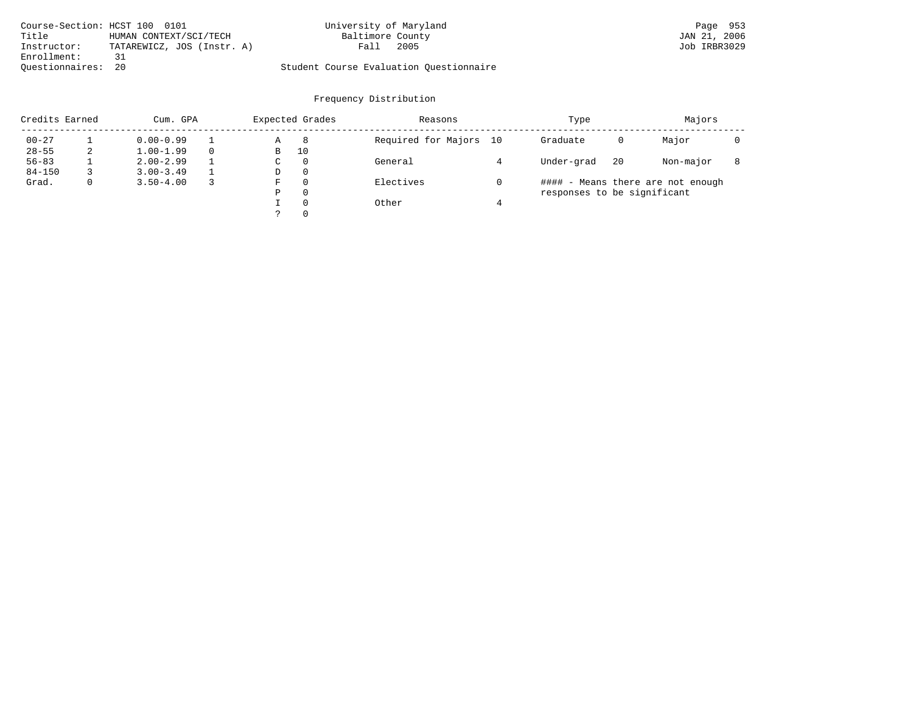| Course-Section: HCST 100 0101 |                            | University of Maryland                  | Page 953     |
|-------------------------------|----------------------------|-----------------------------------------|--------------|
| Title                         | HUMAN CONTEXT/SCI/TECH     | Baltimore County                        | JAN 21, 2006 |
| Instructor:                   | TATAREWICZ, JOS (Instr. A) | 2005<br>Fall.                           | Job IRBR3029 |
| Enrollment:                   | 31                         |                                         |              |
| Ouestionnaires: 20            |                            | Student Course Evaluation Questionnaire |              |

| Credits Earned<br>Cum. GPA |              |               | Expected Grades |    |          | Reasons                | Type                        |    | Majors                            |  |
|----------------------------|--------------|---------------|-----------------|----|----------|------------------------|-----------------------------|----|-----------------------------------|--|
| $00 - 27$                  |              | $0.00 - 0.99$ |                 | Α  | 8        | Required for Majors 10 | Graduate                    | 0  | Major                             |  |
| $28 - 55$                  | 2            | $1.00 - 1.99$ |                 | В  | 10       |                        |                             |    |                                   |  |
| $56 - 83$                  |              | $2.00 - 2.99$ |                 | C. | 0        | General                | Under-grad                  | 20 | Non-major                         |  |
| $84 - 150$                 |              | $3.00 - 3.49$ |                 | D  | 0        |                        |                             |    |                                   |  |
| Grad.                      | $\mathbf{0}$ | $3.50 - 4.00$ |                 | F  | $\Omega$ | Electives              |                             |    | #### - Means there are not enough |  |
|                            |              |               |                 | P  | $\Omega$ |                        | responses to be significant |    |                                   |  |
|                            |              |               |                 |    | $\Omega$ | Other                  |                             |    |                                   |  |
|                            |              |               |                 |    | $\Omega$ |                        |                             |    |                                   |  |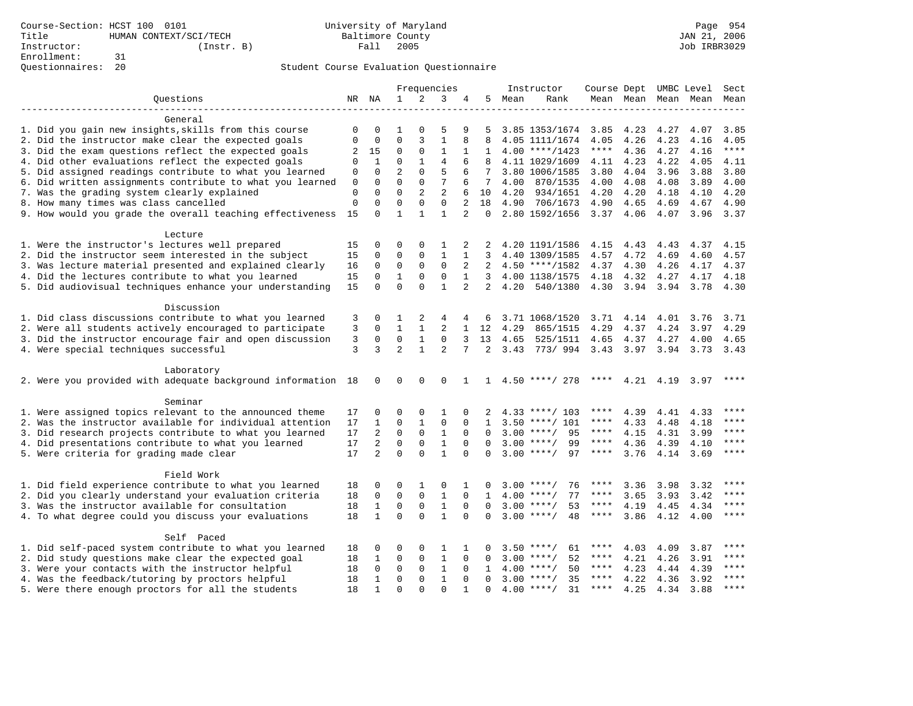| Frequencies<br>Instructor<br>Course Dept UMBC Level                                                                                                                                                                    | Sect        |
|------------------------------------------------------------------------------------------------------------------------------------------------------------------------------------------------------------------------|-------------|
| $\mathbf{1}$<br>2<br>3<br>Ouestions<br>NR NA<br>5.<br>Mean<br>Rank<br>Mean Mean<br>Mean Mean<br>4                                                                                                                      | Mean        |
|                                                                                                                                                                                                                        |             |
| General                                                                                                                                                                                                                |             |
| 1. Did you gain new insights, skills from this course<br>5<br>4.23<br>$\Omega$<br>0<br>1<br>$\Omega$<br>9<br>5<br>3.85 1353/1674<br>3.85<br>4.27<br>4.07                                                               | 3.85        |
| $\mathbf{1}$<br>2. Did the instructor make clear the expected goals<br>$\mathbf{0}$<br>$\Omega$<br>3<br>8<br>4.26<br>4.23<br>$\Omega$<br>R<br>4.05 1111/1674<br>4.05<br>4.16                                           | 4.05        |
| 3. Did the exam questions reflect the expected goals<br>$\mathbf{1}$<br>****<br>2<br>15<br>0<br>0<br>1<br>1<br>$4.00$ ****/1423<br>4.36<br>4.27<br>4.16                                                                | $***$       |
| 4. Did other evaluations reflect the expected goals<br>$\Omega$<br>1<br>1<br>4<br>6<br>4.11 1029/1609<br>4.23<br>4.22<br>$\Omega$<br>8<br>4.11<br>4.05                                                                 | 4.11        |
| $\overline{a}$<br>5. Did assigned readings contribute to what you learned<br>$\Omega$<br>$\Omega$<br>5<br>6<br>3.80 1006/1585<br>3.80<br>4.04<br>3.96<br>3.88<br>$\mathbf 0$                                           | 3.80        |
| $\Omega$<br>7<br>6. Did written assignments contribute to what you learned<br>$\Omega$<br>$\Omega$<br>4.08<br>4.08<br>3.89<br>0<br>6<br>7<br>4.00<br>870/1535<br>4.00                                                  | 4.00        |
| $\Omega$<br>$\overline{c}$<br>$\overline{2}$<br>7. Was the grading system clearly explained<br>$\mathbf 0$<br>0<br>6<br>10<br>4.20<br>934/1651<br>4.20<br>4.20<br>4.18<br>4.10                                         | 4.20        |
| $\Omega$<br>8. How many times was class cancelled<br>$\Omega$<br>$\Omega$<br>$\overline{2}$<br>$\mathbf 0$<br>$\Omega$<br>18<br>4.90<br>706/1673<br>4.90<br>4.65<br>4.69<br>4.67                                       | 4.90        |
| 9. How would you grade the overall teaching effectiveness<br>15<br>$\Omega$<br>$\mathbf{1}$<br>$\mathbf{1}$<br>$\mathbf{1}$<br>$\overline{a}$<br>$\Omega$<br>2.80 1592/1656<br>3.37<br>4.06<br>4.07<br>3.96            | 3.37        |
|                                                                                                                                                                                                                        |             |
| Lecture                                                                                                                                                                                                                |             |
| 1. Were the instructor's lectures well prepared<br>15<br>0<br>0<br>$\Omega$<br>1<br>2<br>4.20 1191/1586<br>4.15<br>4.37<br>2<br>4.43<br>4.43                                                                           | 4.15        |
| 2. Did the instructor seem interested in the subject<br>0<br>0<br>$\mathbf{1}$<br>4.69<br>15<br>0<br>1<br>3<br>4.40 1309/1585<br>4.57<br>4.72<br>4.60                                                                  | 4.57        |
| 3. Was lecture material presented and explained clearly<br>$\mathbf 0$<br>0<br>$\mathbf 0$<br>2<br>16<br>0<br>2<br>$4.50$ ****/1582<br>4.37<br>4.30<br>4.26<br>4.17                                                    | 4.37        |
| 4. Did the lectures contribute to what you learned<br>$\mathbf{1}$<br>$\mathsf 0$<br>$\mathsf 0$<br>0<br>1<br>4.18<br>4.32<br>4.27<br>4.17<br>15<br>3<br>4.00 1138/1575                                                | 4.18        |
| $\Omega$<br>$\mathbf{1}$<br>5. Did audiovisual techniques enhance your understanding<br>$\Omega$<br>$\overline{a}$<br>15<br>$\Omega$<br>$\overline{2}$<br>4.20<br>540/1380<br>4.30<br>3.94 3.94<br>3.78                | 4.30        |
|                                                                                                                                                                                                                        |             |
| Discussion                                                                                                                                                                                                             |             |
|                                                                                                                                                                                                                        |             |
| 1. Did class discussions contribute to what you learned<br>2<br>3<br>0<br>1<br>4<br>3.71 1068/1520<br>3.71<br>4.14<br>4.01<br>3.76<br>4<br>6                                                                           | 3.71        |
| 2. Were all students actively encouraged to participate<br>3<br>$\overline{2}$<br>$\mathbf 0$<br>$\mathbf{1}$<br>$\mathbf{1}$<br>$\mathbf{1}$<br>12<br>4.29<br>4.29<br>4.37<br>4.24<br>3.97<br>865/1515                | 4.29        |
| 3. Did the instructor encourage fair and open discussion<br>3<br>$\mathbf 0$<br>$\mathbf 0$<br>$\mathbf{1}$<br>$\mathbf 0$<br>3<br>13<br>4.65<br>525/1511<br>4.65<br>4.37<br>4.27<br>4.00                              | 4.65        |
| 3<br>$\overline{a}$<br>$\mathbf{1}$<br>4. Were special techniques successful<br>3<br>$\mathfrak{D}$<br>7<br>$\overline{2}$<br>3.43<br>773/994<br>3.43<br>3.97<br>3.94<br>3.73                                          | 3.43        |
|                                                                                                                                                                                                                        |             |
| Laboratory                                                                                                                                                                                                             |             |
| 2. Were you provided with adequate background information 18<br>$\mathbf 0$<br>$\mathbf 0$<br>$\mathbf 0$<br>$\mathbf 0$<br>$1 \quad 4.50$ ****/ 278<br>**** $4.21$ $4.19$<br>3.97<br>1                                |             |
|                                                                                                                                                                                                                        |             |
| Seminar                                                                                                                                                                                                                |             |
| 1. Were assigned topics relevant to the announced theme<br>17<br>0<br>$\Omega$<br>$\Omega$<br>1<br>$4.33$ ****/ 103<br>****<br>4.39<br>4.41<br>$\Omega$<br>2<br>4.33                                                   | $***$ * * * |
| 2. Was the instructor available for individual attention<br>17<br>$\mathbf{1}$<br>$\mathbf 0$<br>$\mathbf{1}$<br>$\mathbf 0$<br>$3.50$ ****/ 101<br>$***$ * * *<br>4.33<br>4.18<br>$\mathbf 0$<br>$\mathbf{1}$<br>4.48 | ****        |
| 3. Did research projects contribute to what you learned<br>$\overline{a}$<br>$\mathbf 0$<br>$\mathbf{1}$<br>95<br>$***$ * * *<br>17<br>$\mathbf 0$<br>$\mathbf 0$<br>$3.00$ ****/<br>4.15<br>4.31<br>3.99<br>$\Omega$  | ****        |
| 17<br>$\overline{a}$<br>$\mathbf 0$<br>$\Omega$<br>$\mathbf{1}$<br>$3.00$ ****/<br>99<br>$***$ * * *<br>4.36<br>4. Did presentations contribute to what you learned<br>$\Omega$<br>4.39<br>4.10<br>$\Omega$            | ****        |
| $\overline{a}$<br>$\Omega$<br>$\mathbf{1}$<br>97<br>5. Were criteria for grading made clear<br>17<br>$\Omega$<br>$\Omega$<br>$3.00$ ****/<br>$***$ * * *<br>3.76<br>$\Omega$<br>4.14<br>3.69                           | $***$       |
|                                                                                                                                                                                                                        |             |
| Field Work                                                                                                                                                                                                             |             |
| 1. Did field experience contribute to what you learned<br>18<br>0<br>$\Omega$<br>1<br>$\mathbf 0$<br>76<br>3.36<br>3.98<br>3.32<br>1<br>O<br>$3.00$ ****/<br>****                                                      | $***$ * * * |
| $\Omega$<br>$\mathbf 0$<br>$\mathbf{1}$<br>2. Did you clearly understand your evaluation criteria<br>$\mathbf 0$<br>$\mathbf 0$<br>77<br>3.65<br>18<br>$\mathbf{1}$<br>4.00<br>$***$ /<br>****<br>3.93<br>3.42         |             |
| $\mathbf{1}$<br>3. Was the instructor available for consultation<br>$\mathbf{1}$<br>$\mathbf 0$<br>$\mathsf 0$<br>53<br>18<br>$\mathbf 0$<br>0<br>$3.00$ ****/<br>****<br>4.19<br>4.45<br>4.34                         | ****        |
| $\mathbf{1}$<br>$\Omega$<br>$\Omega$<br>$\mathbf{1}$<br>$3.00$ ****/<br>48<br>4. To what degree could you discuss your evaluations<br>18<br>$\Omega$<br>****<br>3.86<br>4.12<br>4.00<br>$\Omega$                       | $***$       |
|                                                                                                                                                                                                                        |             |
| Self Paced                                                                                                                                                                                                             |             |
| 1. Did self-paced system contribute to what you learned<br>18<br>0<br>0<br>$\Omega$<br>1<br>1<br>$3.50$ ****/<br>61<br>****<br>4.03<br>4.09<br>3.87<br>0                                                               | ****        |
| 2. Did study questions make clear the expected goal<br>$\mathbf{1}$<br>$\Omega$<br>$\mathbf 0$<br>$\Omega$<br>3.00<br>52<br>4.21<br>4.26<br>3.91<br>18<br>1<br>$\Omega$<br>$***/$<br>****                              | ****        |
| $\mathbf{1}$<br>3. Were your contacts with the instructor helpful<br>$\Omega$<br>$\mathbf 0$<br>$\mathbf 0$<br>$***$ * * *<br>4.23<br>18<br>$\Omega$<br>4.00<br>$***/$<br>50<br>4.44<br>4.39<br>1                      | $***$       |
| $1\,$<br>4. Was the feedback/tutoring by proctors helpful<br>$\Omega$<br>0<br>$3.00$ ****/<br>35<br>$***$ * * *<br>4.22<br>18<br>$\Omega$<br>$\Omega$<br>4.36<br>3.92<br>1                                             | $***$       |
| 5. Were there enough proctors for all the students<br>$\Omega$<br>$\Omega$<br>$4.00$ ****/<br>31<br>$***$ * * *<br>4.25<br>18<br>$\mathbf{1}$<br>$\Omega$<br>$\Omega$<br>4.34<br>3.88                                  | ****        |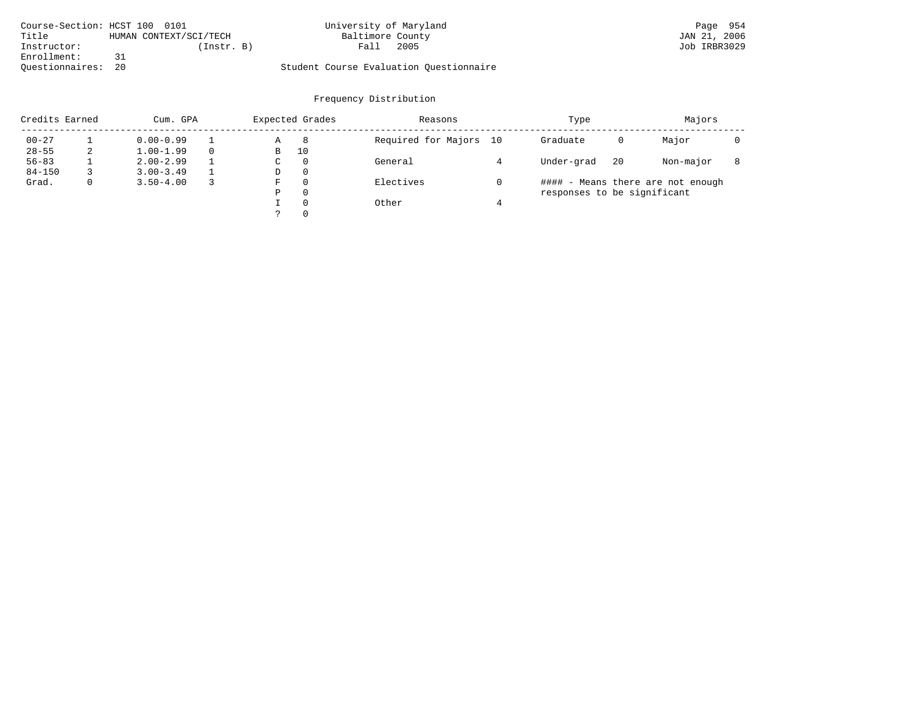| Course-Section: HCST 100 0101 |                        | University of Maryland                  | Page 954     |
|-------------------------------|------------------------|-----------------------------------------|--------------|
| Title                         | HUMAN CONTEXT/SCI/TECH | Baltimore County                        | JAN 21, 2006 |
| Instructor:                   | (Instr. B)             | 2005<br>Fall                            | Job IRBR3029 |
| Enrollment:                   |                        |                                         |              |
| Questionnaires:               | 20                     | Student Course Evaluation Questionnaire |              |

| Credits Earned<br>Cum. GPA |              |               | Expected Grades |    |          | Reasons                | Type                        |    | Majors                            |  |
|----------------------------|--------------|---------------|-----------------|----|----------|------------------------|-----------------------------|----|-----------------------------------|--|
| $00 - 27$                  |              | $0.00 - 0.99$ |                 | Α  | 8        | Required for Majors 10 | Graduate                    | 0  | Major                             |  |
| $28 - 55$                  | 2            | $1.00 - 1.99$ |                 | В  | 10       |                        |                             |    |                                   |  |
| $56 - 83$                  |              | $2.00 - 2.99$ |                 | C. | 0        | General                | Under-grad                  | 20 | Non-major                         |  |
| $84 - 150$                 |              | $3.00 - 3.49$ |                 | D  | 0        |                        |                             |    |                                   |  |
| Grad.                      | $\mathbf{0}$ | $3.50 - 4.00$ |                 | F  | $\Omega$ | Electives              |                             |    | #### - Means there are not enough |  |
|                            |              |               |                 | P  | $\Omega$ |                        | responses to be significant |    |                                   |  |
|                            |              |               |                 |    | $\Omega$ | Other                  |                             |    |                                   |  |
|                            |              |               |                 |    | $\Omega$ |                        |                             |    |                                   |  |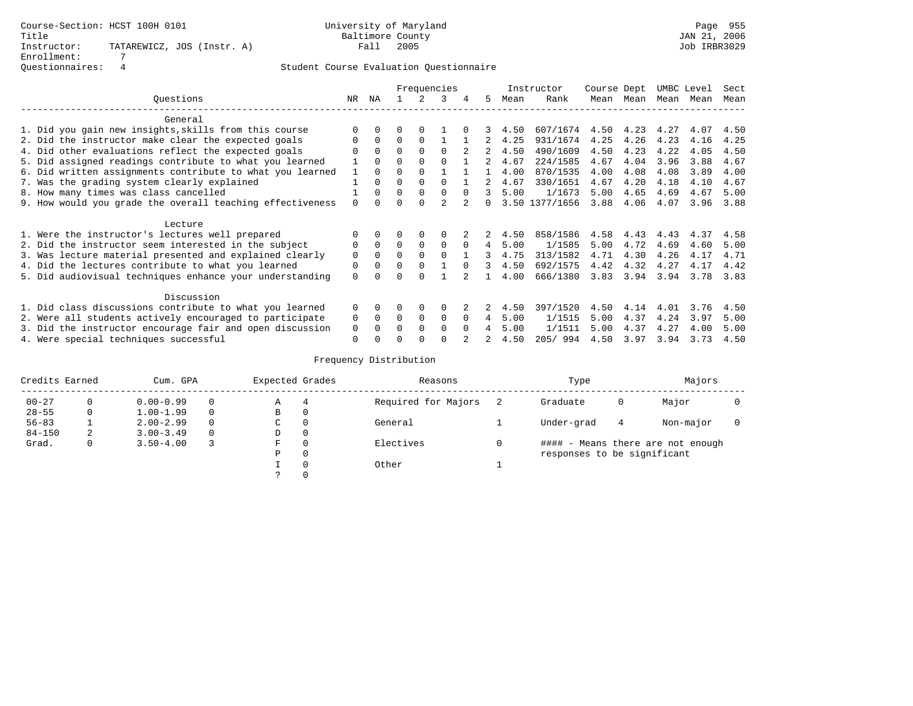|                                                           |          |              |          |          | Frequencies    |          |   |      | Instructor     | Course Dept |      | UMBC Level |      | Sect |
|-----------------------------------------------------------|----------|--------------|----------|----------|----------------|----------|---|------|----------------|-------------|------|------------|------|------|
| Ouestions                                                 | NR.      | ΝA           |          |          | 3              | 4        | 5 | Mean | Rank           | Mean        | Mean | Mean       | Mean | Mean |
| General                                                   |          |              |          |          |                |          |   |      |                |             |      |            |      |      |
| 1. Did you gain new insights, skills from this course     |          | $\Omega$     | 0        | $\Omega$ |                |          |   | 4.50 | 607/1674       | 4.50        | 4.23 | 4.27       | 4.07 | 4.50 |
| 2. Did the instructor make clear the expected goals       | $\Omega$ | $\Omega$     | $\Omega$ | $\Omega$ |                |          |   | 4.25 | 931/1674       | 4.25        | 4.26 | 4.23       | 4.16 | 4.25 |
| 4. Did other evaluations reflect the expected goals       | $\Omega$ | $\Omega$     | $\Omega$ | $\Omega$ | 0              |          |   | 4.50 | 490/1609       | 4.50        | 4.23 | 4.22       | 4.05 | 4.50 |
| 5. Did assigned readings contribute to what you learned   |          | $\Omega$     |          |          |                |          |   | 4.67 | 224/1585       | 4.67        | 4.04 | 3.96       | 3.88 | 4.67 |
| 6. Did written assignments contribute to what you learned |          | $\Omega$     | $\Omega$ | $\Omega$ |                |          |   | 4.00 | 870/1535       | 4.00        | 4.08 | 4.08       | 3.89 | 4.00 |
| 7. Was the grading system clearly explained               |          | $\Omega$     | 0        | $\Omega$ | 0              |          |   | 4.67 | 330/1651       | 4.67        | 4.20 | 4.18       | 4.10 | 4.67 |
| 8. How many times was class cancelled                     |          | $\Omega$     | $\Omega$ | $\Omega$ | $\Omega$       | $\Omega$ | 3 | 5.00 | 1/1673         | 5.00        | 4.65 | 4.69       | 4.67 | 5.00 |
| 9. How would you grade the overall teaching effectiveness | $\Omega$ | $\cap$       |          | $\cap$   | $\mathfrak{D}$ |          |   |      | 3.50 1377/1656 | 3.88        | 4.06 | 4.07       | 3.96 | 3.88 |
| Lecture                                                   |          |              |          |          |                |          |   |      |                |             |      |            |      |      |
| 1. Were the instructor's lectures well prepared           |          | $\Omega$     | 0        | $\Omega$ | $\Omega$       |          |   | 4.50 | 858/1586       | 4.58        | 4.43 | 4.43       | 4.37 | 4.58 |
| 2. Did the instructor seem interested in the subject      | 0        | $\Omega$     | $\Omega$ | $\Omega$ | $\Omega$       |          | 4 | 5.00 | 1/1585         | 5.00        | 4.72 | 4.69       | 4.60 | 5.00 |
| 3. Was lecture material presented and explained clearly   | $\Omega$ | $\Omega$     | $\Omega$ | $\Omega$ | $\Omega$       |          |   | 4.75 | 313/1582       | 4.71        | 4.30 | 4.26       | 4.17 | 4.71 |
| 4. Did the lectures contribute to what you learned        | 0        | $\Omega$     | 0        | $\Omega$ |                | $\cap$   |   | 4.50 | 692/1575       | 4.42        | 4.32 | 4.27       | 4.17 | 4.42 |
| 5. Did audiovisual techniques enhance your understanding  | 0        |              | U        | $\cap$   |                |          |   | 4.00 | 666/1380       | 3.83        | 3.94 | 3.94       | 3.78 | 3.83 |
| Discussion                                                |          |              |          |          |                |          |   |      |                |             |      |            |      |      |
| 1. Did class discussions contribute to what you learned   | $\Omega$ | $\Omega$     | 0        | $\Omega$ | $\Omega$       |          |   | 4.50 | 397/1520       | 4.50        | 4.14 | 4.01       | 3.76 | 4.50 |
| 2. Were all students actively encouraged to participate   | 0        | $\mathbf{0}$ | $\Omega$ | $\Omega$ | $\Omega$       | $\Omega$ | 4 | 5.00 | 1/1515         | 5.00        | 4.37 | 4.24       | 3.97 | 5.00 |
| 3. Did the instructor encourage fair and open discussion  | 0        |              |          | $\Omega$ | 0              | $\Omega$ |   | 5.00 | 1/1511         | 5.00        | 4.37 | 4.27       | 4.00 | 5.00 |
| 4. Were special techniques successful                     | O        |              |          | $\cap$   |                |          |   | 4.50 | 205/994        | 4.50        | 3.97 | 3.94       | 3.73 | 4.50 |

|            | Credits Earned<br>Cum. GPA |               |  | Expected Grades |          | Reasons             | Type                        | Majors |                                   |  |
|------------|----------------------------|---------------|--|-----------------|----------|---------------------|-----------------------------|--------|-----------------------------------|--|
| $00 - 27$  |                            | $0.00 - 0.99$ |  | Α               |          | Required for Majors | Graduate                    | 0      | Major                             |  |
| $28 - 55$  | 0                          | $1.00 - 1.99$ |  | В               | 0        |                     |                             |        |                                   |  |
| $56 - 83$  |                            | $2.00 - 2.99$ |  | C               | 0        | General             | Under-grad                  | 4      | Non-major                         |  |
| $84 - 150$ | 2                          | $3.00 - 3.49$ |  | D               | 0        |                     |                             |        |                                   |  |
| Grad.      | 0                          | $3.50 - 4.00$ |  | F               | $\Omega$ | Electives           |                             |        | #### - Means there are not enough |  |
|            |                            |               |  | Ρ               | 0        |                     | responses to be significant |        |                                   |  |
|            |                            |               |  |                 | $\Omega$ | Other               |                             |        |                                   |  |
|            |                            |               |  |                 |          |                     |                             |        |                                   |  |